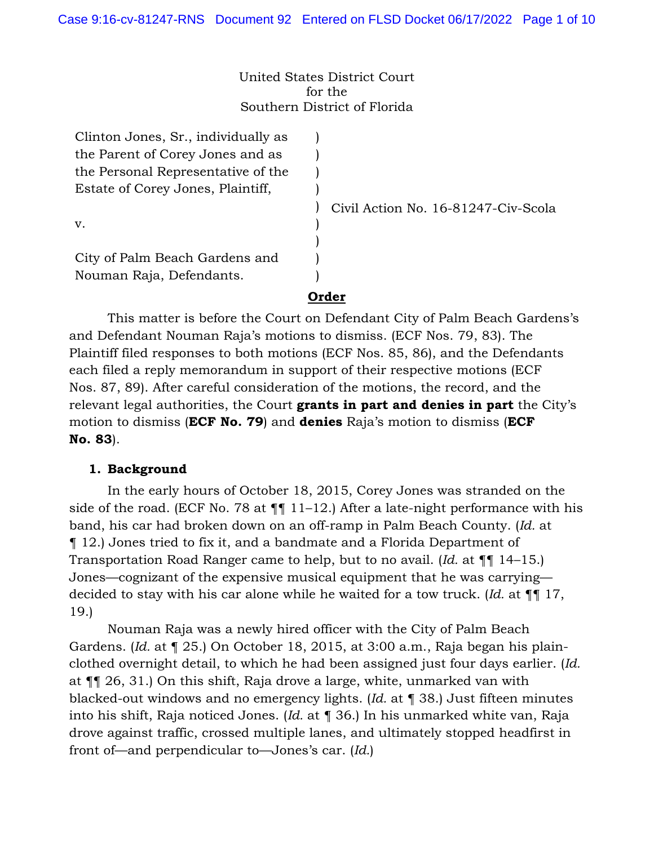#### United States District Court for the Southern District of Florida

| Clinton Jones, Sr., individually as |          |
|-------------------------------------|----------|
| the Parent of Corey Jones and as    |          |
| the Personal Representative of the  |          |
| Estate of Corey Jones, Plaintiff,   |          |
|                                     | $C$ ivil |
| v.                                  |          |
|                                     |          |
| City of Palm Beach Gardens and      |          |
| Nouman Raja, Defendants.            |          |
|                                     |          |

Action No. 16-81247-Civ-Scola

# **Order**

This matter is before the Court on Defendant City of Palm Beach Gardens's and Defendant Nouman Raja's motions to dismiss. (ECF Nos. 79, 83). The Plaintiff filed responses to both motions (ECF Nos. 85, 86), and the Defendants each filed a reply memorandum in support of their respective motions (ECF Nos. 87, 89). After careful consideration of the motions, the record, and the relevant legal authorities, the Court **grants in part and denies in part** the City's motion to dismiss (**ECF No. 79**) and **denies** Raja's motion to dismiss (**ECF No. 83**).

## **1. Background**

In the early hours of October 18, 2015, Corey Jones was stranded on the side of the road. (ECF No. 78 at  $\P\P$  11–12.) After a late-night performance with his band, his car had broken down on an off-ramp in Palm Beach County. (*Id.* at ¶ 12.) Jones tried to fix it, and a bandmate and a Florida Department of Transportation Road Ranger came to help, but to no avail. (*Id.* at ¶¶ 14–15.) Jones—cognizant of the expensive musical equipment that he was carrying decided to stay with his car alone while he waited for a tow truck. (*Id.* at ¶¶ 17, 19.)

Nouman Raja was a newly hired officer with the City of Palm Beach Gardens. (*Id.* at ¶ 25.) On October 18, 2015, at 3:00 a.m., Raja began his plainclothed overnight detail, to which he had been assigned just four days earlier. (*Id.* at ¶¶ 26, 31.) On this shift, Raja drove a large, white, unmarked van with blacked-out windows and no emergency lights. (*Id.* at ¶ 38.) Just fifteen minutes into his shift, Raja noticed Jones. (*Id.* at ¶ 36.) In his unmarked white van, Raja drove against traffic, crossed multiple lanes, and ultimately stopped headfirst in front of—and perpendicular to—Jones's car. (*Id.*)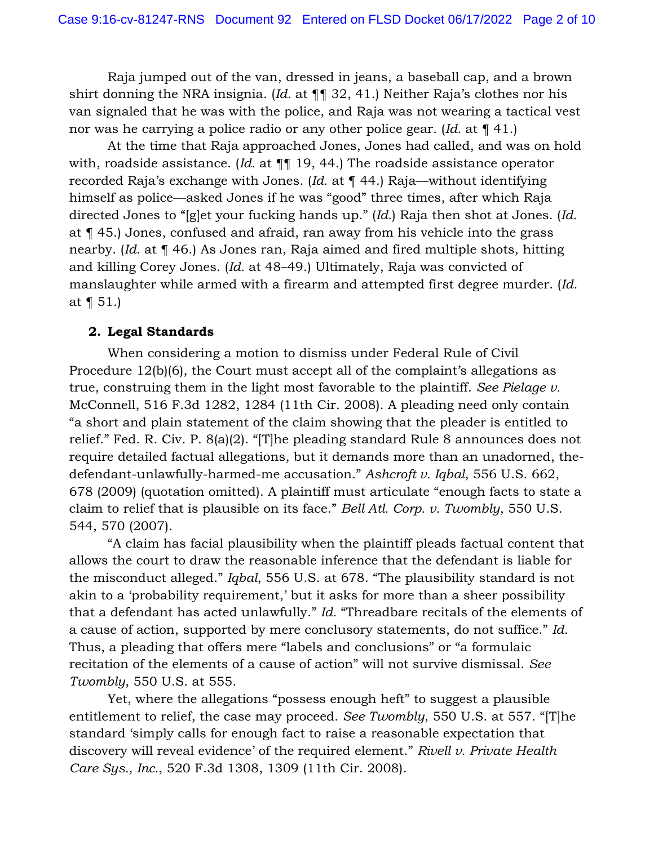Raja jumped out of the van, dressed in jeans, a baseball cap, and a brown shirt donning the NRA insignia. (*Id.* at ¶¶ 32, 41.) Neither Raja's clothes nor his van signaled that he was with the police, and Raja was not wearing a tactical vest nor was he carrying a police radio or any other police gear. (*Id.* at ¶ 41.)

At the time that Raja approached Jones, Jones had called, and was on hold with, roadside assistance. (*Id.* at ¶¶ 19, 44.) The roadside assistance operator recorded Raja's exchange with Jones. (*Id.* at ¶ 44.) Raja—without identifying himself as police—asked Jones if he was "good" three times, after which Raja directed Jones to "[g]et your fucking hands up." (*Id.*) Raja then shot at Jones. (*Id.* at ¶ 45.) Jones, confused and afraid, ran away from his vehicle into the grass nearby. (*Id.* at ¶ 46.) As Jones ran, Raja aimed and fired multiple shots, hitting and killing Corey Jones. (*Id.* at 48–49.) Ultimately, Raja was convicted of manslaughter while armed with a firearm and attempted first degree murder. (*Id.* at ¶ 51.)

## **2. Legal Standards**

When considering a motion to dismiss under Federal Rule of Civil Procedure 12(b)(6), the Court must accept all of the complaint's allegations as true, construing them in the light most favorable to the plaintiff. *See Pielage v.*  McConnell, 516 F.3d 1282, 1284 (11th Cir. 2008). A pleading need only contain "a short and plain statement of the claim showing that the pleader is entitled to relief." Fed. R. Civ. P. 8(a)(2). "[T]he pleading standard Rule 8 announces does not require detailed factual allegations, but it demands more than an unadorned, thedefendant-unlawfully-harmed-me accusation." *Ashcroft v. Iqbal*, 556 U.S. 662, 678 (2009) (quotation omitted). A plaintiff must articulate "enough facts to state a claim to relief that is plausible on its face." *Bell Atl. Corp. v. Twombly*, 550 U.S. 544, 570 (2007).

"A claim has facial plausibility when the plaintiff pleads factual content that allows the court to draw the reasonable inference that the defendant is liable for the misconduct alleged." *Iqbal*, 556 U.S. at 678. "The plausibility standard is not akin to a 'probability requirement,' but it asks for more than a sheer possibility that a defendant has acted unlawfully." *Id.* "Threadbare recitals of the elements of a cause of action, supported by mere conclusory statements, do not suffice." *Id.* Thus, a pleading that offers mere "labels and conclusions" or "a formulaic recitation of the elements of a cause of action" will not survive dismissal. *See Twombly*, 550 U.S. at 555.

Yet, where the allegations "possess enough heft" to suggest a plausible entitlement to relief, the case may proceed. *See Twombly*, 550 U.S. at 557. "[T]he standard 'simply calls for enough fact to raise a reasonable expectation that discovery will reveal evidence' of the required element." *Rivell v. Private Health Care Sys., Inc.*, 520 F.3d 1308, 1309 (11th Cir. 2008).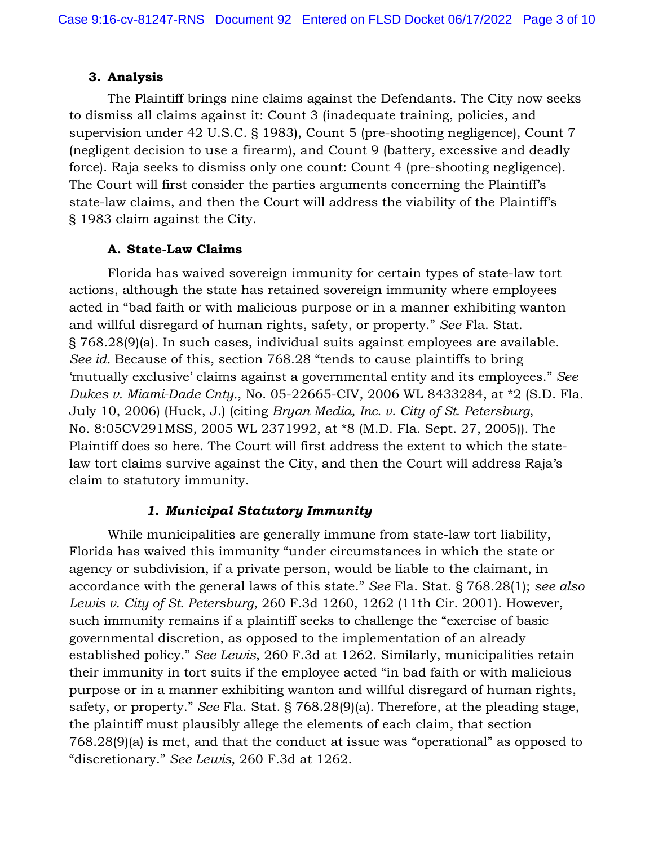## **3. Analysis**

The Plaintiff brings nine claims against the Defendants. The City now seeks to dismiss all claims against it: Count 3 (inadequate training, policies, and supervision under 42 U.S.C. § 1983), Count 5 (pre-shooting negligence), Count 7 (negligent decision to use a firearm), and Count 9 (battery, excessive and deadly force). Raja seeks to dismiss only one count: Count 4 (pre-shooting negligence). The Court will first consider the parties arguments concerning the Plaintiff's state-law claims, and then the Court will address the viability of the Plaintiff's § 1983 claim against the City.

## **A. State-Law Claims**

Florida has waived sovereign immunity for certain types of state-law tort actions, although the state has retained sovereign immunity where employees acted in "bad faith or with malicious purpose or in a manner exhibiting wanton and willful disregard of human rights, safety, or property." *See* Fla. Stat. § 768.28(9)(a). In such cases, individual suits against employees are available. *See id.* Because of this, section 768.28 "tends to cause plaintiffs to bring 'mutually exclusive' claims against a governmental entity and its employees." *See Dukes v. Miami-Dade Cnty.*, No. 05-22665-CIV, 2006 WL 8433284, at \*2 (S.D. Fla. July 10, 2006) (Huck, J.) (citing *Bryan Media, Inc. v. City of St. Petersburg*, No. 8:05CV291MSS, 2005 WL 2371992, at \*8 (M.D. Fla. Sept. 27, 2005)). The Plaintiff does so here. The Court will first address the extent to which the statelaw tort claims survive against the City, and then the Court will address Raja's claim to statutory immunity.

## *1. Municipal Statutory Immunity*

While municipalities are generally immune from state-law tort liability, Florida has waived this immunity "under circumstances in which the state or agency or subdivision, if a private person, would be liable to the claimant, in accordance with the general laws of this state." *See* Fla. Stat. § 768.28(1); *see also Lewis v. City of St. Petersburg*, 260 F.3d 1260, 1262 (11th Cir. 2001). However, such immunity remains if a plaintiff seeks to challenge the "exercise of basic governmental discretion, as opposed to the implementation of an already established policy." *See Lewis*, 260 F.3d at 1262. Similarly, municipalities retain their immunity in tort suits if the employee acted "in bad faith or with malicious purpose or in a manner exhibiting wanton and willful disregard of human rights, safety, or property." *See* Fla. Stat. § 768.28(9)(a). Therefore, at the pleading stage, the plaintiff must plausibly allege the elements of each claim, that section 768.28(9)(a) is met, and that the conduct at issue was "operational" as opposed to "discretionary." *See Lewis*, 260 F.3d at 1262.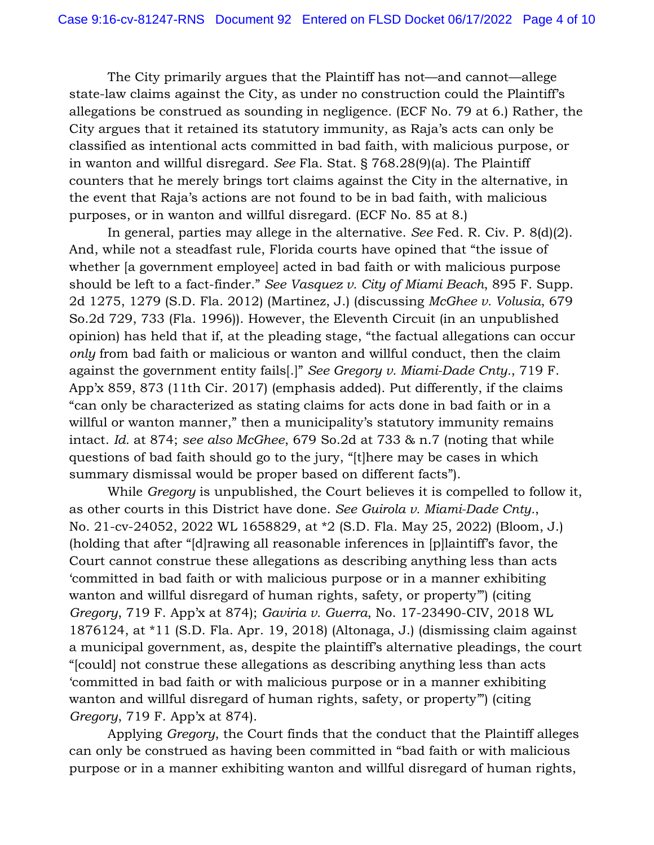The City primarily argues that the Plaintiff has not—and cannot—allege state-law claims against the City, as under no construction could the Plaintiff's allegations be construed as sounding in negligence. (ECF No. 79 at 6.) Rather, the City argues that it retained its statutory immunity, as Raja's acts can only be classified as intentional acts committed in bad faith, with malicious purpose, or in wanton and willful disregard. *See* Fla. Stat. § 768.28(9)(a). The Plaintiff counters that he merely brings tort claims against the City in the alternative, in the event that Raja's actions are not found to be in bad faith, with malicious purposes, or in wanton and willful disregard. (ECF No. 85 at 8.)

In general, parties may allege in the alternative. *See* Fed. R. Civ. P. 8(d)(2). And, while not a steadfast rule, Florida courts have opined that "the issue of whether [a government employee] acted in bad faith or with malicious purpose should be left to a fact-finder." *See Vasquez v. City of Miami Beach*, 895 F. Supp. 2d 1275, 1279 (S.D. Fla. 2012) (Martinez, J.) (discussing *McGhee v. Volusia*, 679 So.2d 729, 733 (Fla. 1996)). However, the Eleventh Circuit (in an unpublished opinion) has held that if, at the pleading stage, "the factual allegations can occur *only* from bad faith or malicious or wanton and willful conduct, then the claim against the government entity fails[.]" *See Gregory v. Miami-Dade Cnty.*, 719 F. App'x 859, 873 (11th Cir. 2017) (emphasis added). Put differently, if the claims "can only be characterized as stating claims for acts done in bad faith or in a willful or wanton manner," then a municipality's statutory immunity remains intact. *Id.* at 874; *see also McGhee*, 679 So.2d at 733 & n.7 (noting that while questions of bad faith should go to the jury, "[t]here may be cases in which summary dismissal would be proper based on different facts").

While *Gregory* is unpublished, the Court believes it is compelled to follow it, as other courts in this District have done. *See Guirola v. Miami-Dade Cnty.*, No. 21-cv-24052, 2022 WL 1658829, at \*2 (S.D. Fla. May 25, 2022) (Bloom, J.) (holding that after "[d]rawing all reasonable inferences in [p]laintiff's favor, the Court cannot construe these allegations as describing anything less than acts 'committed in bad faith or with malicious purpose or in a manner exhibiting wanton and willful disregard of human rights, safety, or property") (citing *Gregory*, 719 F. App'x at 874); *Gaviria v. Guerra*, No. 17-23490-CIV, 2018 WL 1876124, at \*11 (S.D. Fla. Apr. 19, 2018) (Altonaga, J.) (dismissing claim against a municipal government, as, despite the plaintiff's alternative pleadings, the court "[could] not construe these allegations as describing anything less than acts 'committed in bad faith or with malicious purpose or in a manner exhibiting wanton and willful disregard of human rights, safety, or property") (citing *Gregory*, 719 F. App'x at 874).

Applying *Gregory*, the Court finds that the conduct that the Plaintiff alleges can only be construed as having been committed in "bad faith or with malicious purpose or in a manner exhibiting wanton and willful disregard of human rights,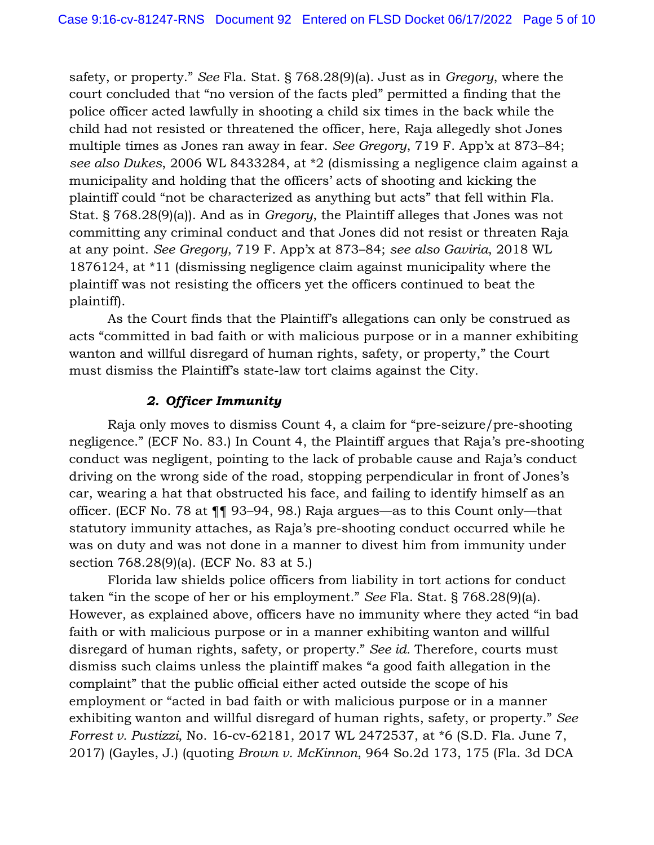safety, or property." *See* Fla. Stat. § 768.28(9)(a). Just as in *Gregory*, where the court concluded that "no version of the facts pled" permitted a finding that the police officer acted lawfully in shooting a child six times in the back while the child had not resisted or threatened the officer, here, Raja allegedly shot Jones multiple times as Jones ran away in fear. *See Gregory*, 719 F. App'x at 873–84; *see also Dukes*, 2006 WL 8433284, at \*2 (dismissing a negligence claim against a municipality and holding that the officers' acts of shooting and kicking the plaintiff could "not be characterized as anything but acts" that fell within Fla. Stat. § 768.28(9)(a)). And as in *Gregory*, the Plaintiff alleges that Jones was not committing any criminal conduct and that Jones did not resist or threaten Raja at any point. *See Gregory*, 719 F. App'x at 873–84; *see also Gaviria*, 2018 WL 1876124, at \*11 (dismissing negligence claim against municipality where the plaintiff was not resisting the officers yet the officers continued to beat the plaintiff).

As the Court finds that the Plaintiff's allegations can only be construed as acts "committed in bad faith or with malicious purpose or in a manner exhibiting wanton and willful disregard of human rights, safety, or property," the Court must dismiss the Plaintiff's state-law tort claims against the City.

## *2. Officer Immunity*

Raja only moves to dismiss Count 4, a claim for "pre-seizure/pre-shooting negligence." (ECF No. 83.) In Count 4, the Plaintiff argues that Raja's pre-shooting conduct was negligent, pointing to the lack of probable cause and Raja's conduct driving on the wrong side of the road, stopping perpendicular in front of Jones's car, wearing a hat that obstructed his face, and failing to identify himself as an officer. (ECF No. 78 at ¶¶ 93–94, 98.) Raja argues—as to this Count only—that statutory immunity attaches, as Raja's pre-shooting conduct occurred while he was on duty and was not done in a manner to divest him from immunity under section 768.28(9)(a). (ECF No. 83 at 5.)

Florida law shields police officers from liability in tort actions for conduct taken "in the scope of her or his employment." *See* Fla. Stat. § 768.28(9)(a). However, as explained above, officers have no immunity where they acted "in bad faith or with malicious purpose or in a manner exhibiting wanton and willful disregard of human rights, safety, or property." *See id.* Therefore, courts must dismiss such claims unless the plaintiff makes "a good faith allegation in the complaint" that the public official either acted outside the scope of his employment or "acted in bad faith or with malicious purpose or in a manner exhibiting wanton and willful disregard of human rights, safety, or property." *See Forrest v. Pustizzi*, No. 16-cv-62181, 2017 WL 2472537, at \*6 (S.D. Fla. June 7, 2017) (Gayles, J.) (quoting *Brown v. McKinnon*, 964 So.2d 173, 175 (Fla. 3d DCA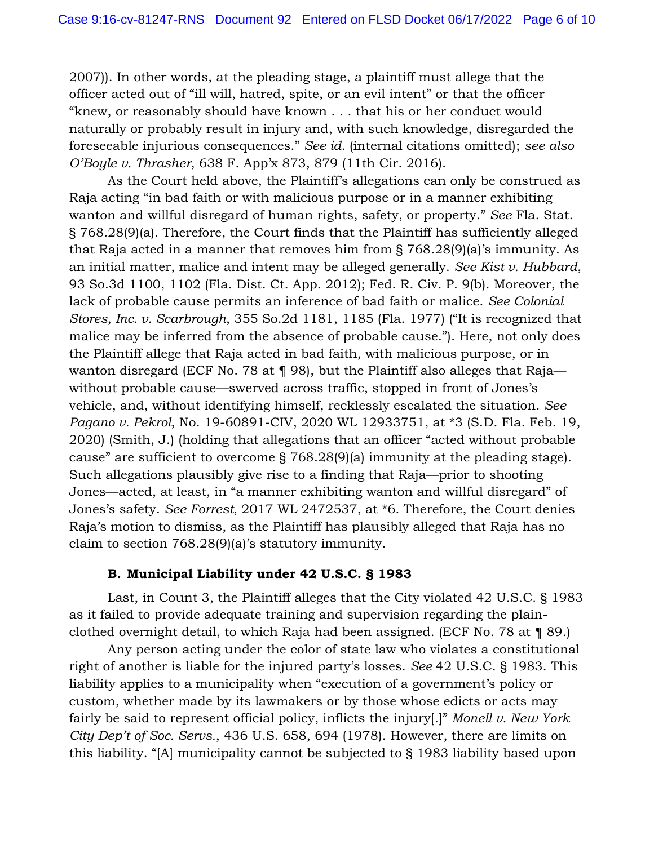2007)). In other words, at the pleading stage, a plaintiff must allege that the officer acted out of "ill will, hatred, spite, or an evil intent" or that the officer "knew, or reasonably should have known . . . that his or her conduct would naturally or probably result in injury and, with such knowledge, disregarded the foreseeable injurious consequences." *See id.* (internal citations omitted); *see also O'Boyle v. Thrasher*, 638 F. App'x 873, 879 (11th Cir. 2016).

As the Court held above, the Plaintiff's allegations can only be construed as Raja acting "in bad faith or with malicious purpose or in a manner exhibiting wanton and willful disregard of human rights, safety, or property." *See* Fla. Stat. § 768.28(9)(a). Therefore, the Court finds that the Plaintiff has sufficiently alleged that Raja acted in a manner that removes him from § 768.28(9)(a)'s immunity. As an initial matter, malice and intent may be alleged generally. *See Kist v. Hubbard*, 93 So.3d 1100, 1102 (Fla. Dist. Ct. App. 2012); Fed. R. Civ. P. 9(b). Moreover, the lack of probable cause permits an inference of bad faith or malice. *See Colonial Stores, Inc. v. Scarbrough*, 355 So.2d 1181, 1185 (Fla. 1977) ("It is recognized that malice may be inferred from the absence of probable cause."). Here, not only does the Plaintiff allege that Raja acted in bad faith, with malicious purpose, or in wanton disregard (ECF No. 78 at ¶ 98), but the Plaintiff also alleges that Raja without probable cause—swerved across traffic, stopped in front of Jones's vehicle, and, without identifying himself, recklessly escalated the situation. *See Pagano v. Pekrol*, No. 19-60891-CIV, 2020 WL 12933751, at \*3 (S.D. Fla. Feb. 19, 2020) (Smith, J.) (holding that allegations that an officer "acted without probable cause" are sufficient to overcome § 768.28(9)(a) immunity at the pleading stage). Such allegations plausibly give rise to a finding that Raja—prior to shooting Jones—acted, at least, in "a manner exhibiting wanton and willful disregard" of Jones's safety. *See Forrest*, 2017 WL 2472537, at \*6. Therefore, the Court denies Raja's motion to dismiss, as the Plaintiff has plausibly alleged that Raja has no claim to section 768.28(9)(a)'s statutory immunity.

#### **B. Municipal Liability under 42 U.S.C. § 1983**

Last, in Count 3, the Plaintiff alleges that the City violated 42 U.S.C. § 1983 as it failed to provide adequate training and supervision regarding the plainclothed overnight detail, to which Raja had been assigned. (ECF No. 78 at ¶ 89.)

Any person acting under the color of state law who violates a constitutional right of another is liable for the injured party's losses. *See* 42 U.S.C. § 1983. This liability applies to a municipality when "execution of a government's policy or custom, whether made by its lawmakers or by those whose edicts or acts may fairly be said to represent official policy, inflicts the injury[.]" *Monell v. New York City Dep't of Soc. Servs.*, 436 U.S. 658, 694 (1978). However, there are limits on this liability. "[A] municipality cannot be subjected to § 1983 liability based upon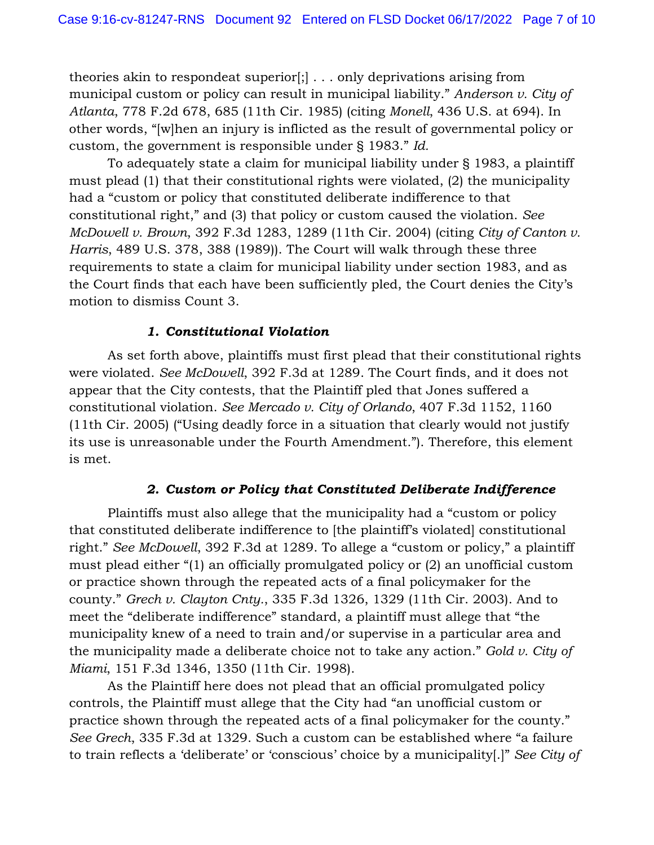theories akin to respondeat superior[;] . . . only deprivations arising from municipal custom or policy can result in municipal liability." *Anderson v. City of Atlanta*, 778 F.2d 678, 685 (11th Cir. 1985) (citing *Monell*, 436 U.S. at 694). In other words, "[w]hen an injury is inflicted as the result of governmental policy or custom, the government is responsible under § 1983." *Id.*

To adequately state a claim for municipal liability under § 1983, a plaintiff must plead (1) that their constitutional rights were violated, (2) the municipality had a "custom or policy that constituted deliberate indifference to that constitutional right," and (3) that policy or custom caused the violation. *See McDowell v. Brown*, 392 F.3d 1283, 1289 (11th Cir. 2004) (citing *City of Canton v. Harris*, 489 U.S. 378, 388 (1989)). The Court will walk through these three requirements to state a claim for municipal liability under section 1983, and as the Court finds that each have been sufficiently pled, the Court denies the City's motion to dismiss Count 3.

#### *1. Constitutional Violation*

As set forth above, plaintiffs must first plead that their constitutional rights were violated. *See McDowell*, 392 F.3d at 1289. The Court finds, and it does not appear that the City contests, that the Plaintiff pled that Jones suffered a constitutional violation. *See Mercado v. City of Orlando*, 407 F.3d 1152, 1160 (11th Cir. 2005) ("Using deadly force in a situation that clearly would not justify its use is unreasonable under the Fourth Amendment."). Therefore, this element is met.

#### *2. Custom or Policy that Constituted Deliberate Indifference*

Plaintiffs must also allege that the municipality had a "custom or policy that constituted deliberate indifference to [the plaintiff's violated] constitutional right." *See McDowell*, 392 F.3d at 1289. To allege a "custom or policy," a plaintiff must plead either "(1) an officially promulgated policy or (2) an unofficial custom or practice shown through the repeated acts of a final policymaker for the county." *Grech v. Clayton Cnty.*, 335 F.3d 1326, 1329 (11th Cir. 2003). And to meet the "deliberate indifference" standard, a plaintiff must allege that "the municipality knew of a need to train and/or supervise in a particular area and the municipality made a deliberate choice not to take any action." *Gold v. City of Miami*, 151 F.3d 1346, 1350 (11th Cir. 1998).

As the Plaintiff here does not plead that an official promulgated policy controls, the Plaintiff must allege that the City had "an unofficial custom or practice shown through the repeated acts of a final policymaker for the county." *See Grech*, 335 F.3d at 1329. Such a custom can be established where "a failure to train reflects a 'deliberate' or 'conscious' choice by a municipality[.]" *See City of*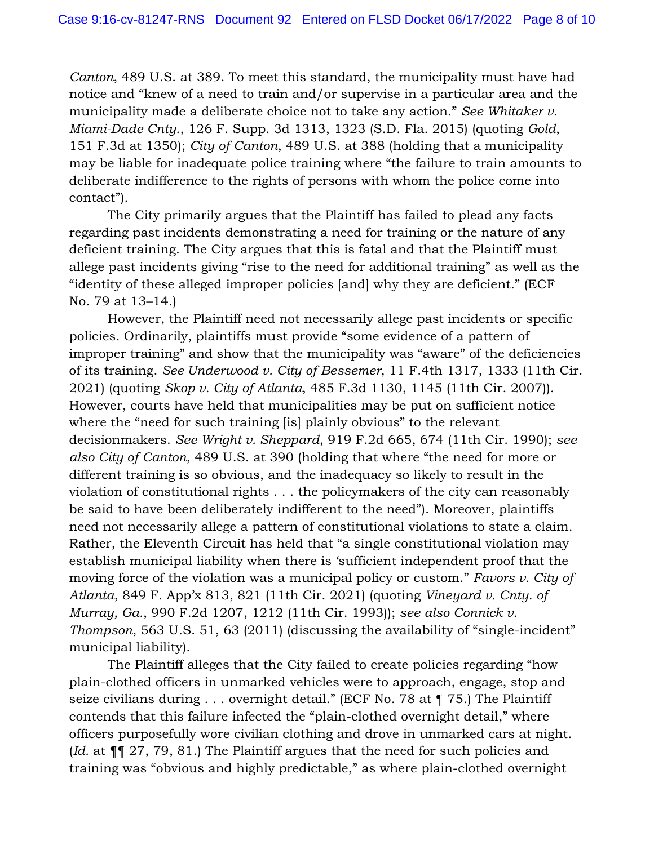*Canton*, 489 U.S. at 389. To meet this standard, the municipality must have had notice and "knew of a need to train and/or supervise in a particular area and the municipality made a deliberate choice not to take any action." *See Whitaker v. Miami-Dade Cnty.*, 126 F. Supp. 3d 1313, 1323 (S.D. Fla. 2015) (quoting *Gold*, 151 F.3d at 1350); *City of Canton*, 489 U.S. at 388 (holding that a municipality may be liable for inadequate police training where "the failure to train amounts to deliberate indifference to the rights of persons with whom the police come into contact").

The City primarily argues that the Plaintiff has failed to plead any facts regarding past incidents demonstrating a need for training or the nature of any deficient training. The City argues that this is fatal and that the Plaintiff must allege past incidents giving "rise to the need for additional training" as well as the "identity of these alleged improper policies [and] why they are deficient." (ECF No. 79 at 13–14.)

However, the Plaintiff need not necessarily allege past incidents or specific policies. Ordinarily, plaintiffs must provide "some evidence of a pattern of improper training" and show that the municipality was "aware" of the deficiencies of its training. *See Underwood v. City of Bessemer*, 11 F.4th 1317, 1333 (11th Cir. 2021) (quoting *Skop v. City of Atlanta*, 485 F.3d 1130, 1145 (11th Cir. 2007)). However, courts have held that municipalities may be put on sufficient notice where the "need for such training [is] plainly obvious" to the relevant decisionmakers. *See Wright v. Sheppard*, 919 F.2d 665, 674 (11th Cir. 1990); *see also City of Canton*, 489 U.S. at 390 (holding that where "the need for more or different training is so obvious, and the inadequacy so likely to result in the violation of constitutional rights . . . the policymakers of the city can reasonably be said to have been deliberately indifferent to the need"). Moreover, plaintiffs need not necessarily allege a pattern of constitutional violations to state a claim. Rather, the Eleventh Circuit has held that "a single constitutional violation may establish municipal liability when there is 'sufficient independent proof that the moving force of the violation was a municipal policy or custom." *Favors v. City of Atlanta*, 849 F. App'x 813, 821 (11th Cir. 2021) (quoting *Vineyard v. Cnty. of Murray, Ga.*, 990 F.2d 1207, 1212 (11th Cir. 1993)); *see also Connick v. Thompson*, 563 U.S. 51, 63 (2011) (discussing the availability of "single-incident" municipal liability).

The Plaintiff alleges that the City failed to create policies regarding "how plain-clothed officers in unmarked vehicles were to approach, engage, stop and seize civilians during . . . overnight detail." (ECF No. 78 at ¶ 75.) The Plaintiff contends that this failure infected the "plain-clothed overnight detail," where officers purposefully wore civilian clothing and drove in unmarked cars at night. (*Id.* at ¶¶ 27, 79, 81.) The Plaintiff argues that the need for such policies and training was "obvious and highly predictable," as where plain-clothed overnight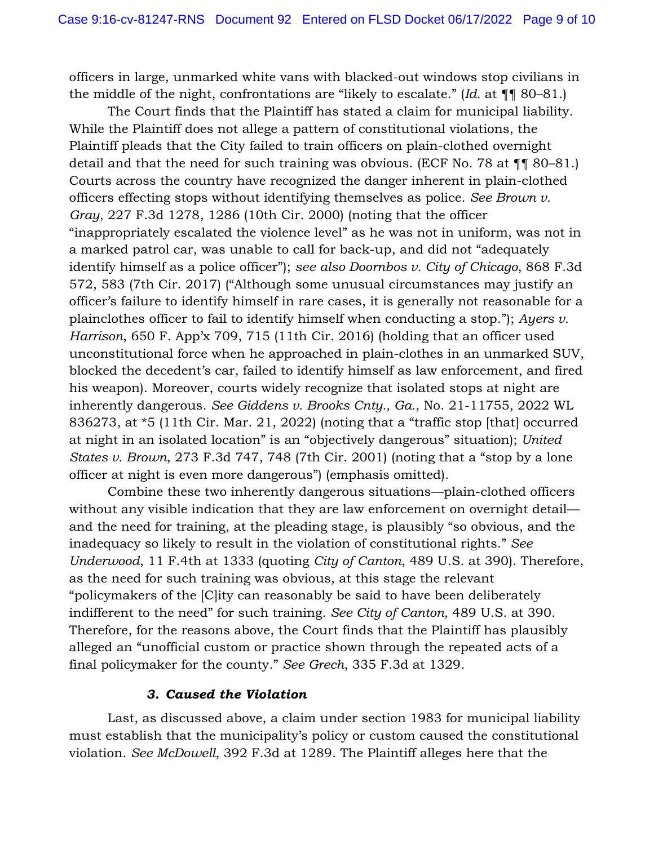officers in large, unmarked white vans with blacked-out windows stop civilians in the middle of the night, confrontations are "likely to escalate." (*Id.* at ¶¶ 80–81.)

The Court finds that the Plaintiff has stated a claim for municipal liability. While the Plaintiff does not allege a pattern of constitutional violations, the Plaintiff pleads that the City failed to train officers on plain-clothed overnight detail and that the need for such training was obvious. (ECF No. 78 at ¶¶ 80–81.) Courts across the country have recognized the danger inherent in plain-clothed officers effecting stops without identifying themselves as police. *See Brown v. Gray*, 227 F.3d 1278, 1286 (10th Cir. 2000) (noting that the officer "inappropriately escalated the violence level" as he was not in uniform, was not in a marked patrol car, was unable to call for back-up, and did not "adequately identify himself as a police officer"); *see also Doornbos v. City of Chicago*, 868 F.3d 572, 583 (7th Cir. 2017) ("Although some unusual circumstances may justify an officer's failure to identify himself in rare cases, it is generally not reasonable for a plainclothes officer to fail to identify himself when conducting a stop."); *Ayers v. Harrison*, 650 F. App'x 709, 715 (11th Cir. 2016) (holding that an officer used unconstitutional force when he approached in plain-clothes in an unmarked SUV, blocked the decedent's car, failed to identify himself as law enforcement, and fired his weapon). Moreover, courts widely recognize that isolated stops at night are inherently dangerous. *See Giddens v. Brooks Cnty., Ga.*, No. 21-11755, 2022 WL 836273, at \*5 (11th Cir. Mar. 21, 2022) (noting that a "traffic stop [that] occurred at night in an isolated location" is an "objectively dangerous" situation); *United States v. Brown*, 273 F.3d 747, 748 (7th Cir. 2001) (noting that a "stop by a lone officer at night is even more dangerous") (emphasis omitted).

Combine these two inherently dangerous situations—plain-clothed officers without any visible indication that they are law enforcement on overnight detail and the need for training, at the pleading stage, is plausibly "so obvious, and the inadequacy so likely to result in the violation of constitutional rights." *See Underwood*, 11 F.4th at 1333 (quoting *City of Canton*, 489 U.S. at 390). Therefore, as the need for such training was obvious, at this stage the relevant "policymakers of the [C]ity can reasonably be said to have been deliberately indifferent to the need" for such training. *See City of Canton*, 489 U.S. at 390. Therefore, for the reasons above, the Court finds that the Plaintiff has plausibly alleged an "unofficial custom or practice shown through the repeated acts of a final policymaker for the county." *See Grech*, 335 F.3d at 1329.

#### *3. Caused the Violation*

Last, as discussed above, a claim under section 1983 for municipal liability must establish that the municipality's policy or custom caused the constitutional violation. *See McDowell*, 392 F.3d at 1289. The Plaintiff alleges here that the